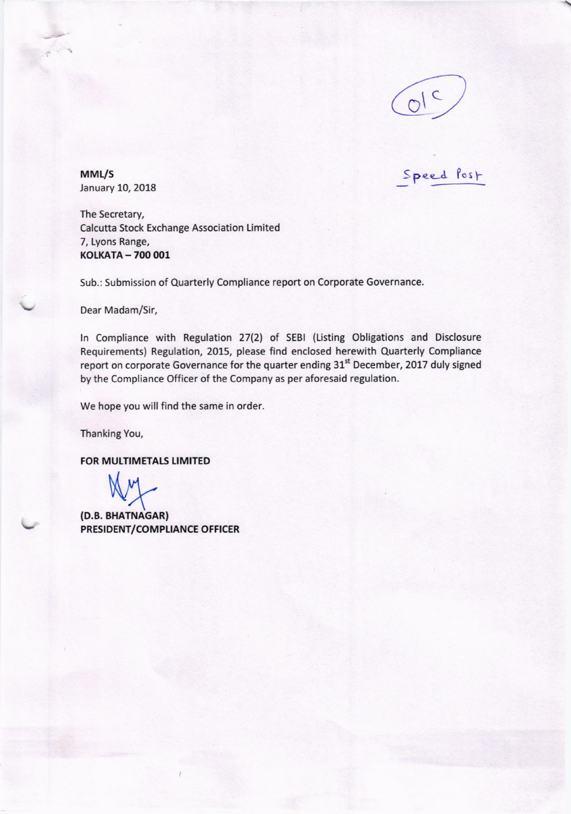

Speed Post

MML/S January 10, 2018

The Secretary, Calcutta Stock Exchange Association Limited 7, Lyons Range, KOLKATA - 700 001

Sub.: Submission of Quarterly Compliance report on Corporate Governance.

Dear Madam/5ir,

In Compliance with Regulation 27(2) of SEBI (Listing Obligations and Disclosure Requirements) Regulation, 2015, please find enclosed herewith Quarterly Compliance report on corporate Governance for the quarter ending 31<sup>st</sup> December, 2017 duly signed by the Compliance Officer of the Company as per aforesaid regulation.

We hope you will find the same in order.

Thanking You,

FOR MULTIMETALS LIMITED

(D.B. BHATNAGAR) PRESIDENT/COMPLIANCE OFFICER